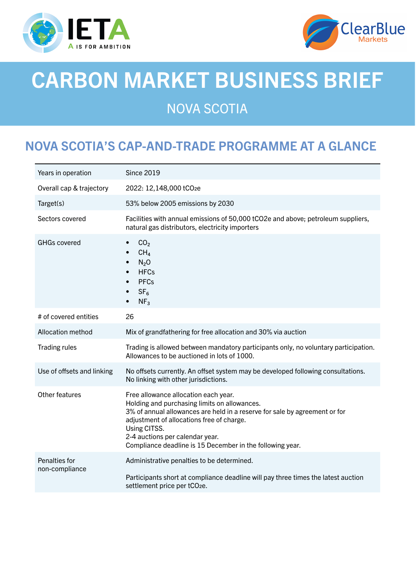



# CARBON MARKET BUSINESS BRIEF

## NOVA SCOTIA

## NOVA SCOTIA'S CAP-AND-TRADE PROGRAMME AT A GLANCE

| Years in operation              | <b>Since 2019</b>                                                                                                                                                                                                                                                                                                               |
|---------------------------------|---------------------------------------------------------------------------------------------------------------------------------------------------------------------------------------------------------------------------------------------------------------------------------------------------------------------------------|
| Overall cap & trajectory        | 2022: 12,148,000 tCO2e                                                                                                                                                                                                                                                                                                          |
| Target(s)                       | 53% below 2005 emissions by 2030                                                                                                                                                                                                                                                                                                |
| Sectors covered                 | Facilities with annual emissions of 50,000 tCO2e and above; petroleum suppliers,<br>natural gas distributors, electricity importers                                                                                                                                                                                             |
| <b>GHGs covered</b>             | CO <sub>2</sub><br>$\bullet$<br>CH <sub>4</sub><br>$N_2$ O<br>$\bullet$<br><b>HFCs</b><br>$\bullet$<br><b>PFCs</b><br>$\bullet$<br>SF <sub>6</sub><br>NF <sub>3</sub>                                                                                                                                                           |
| # of covered entities           | 26                                                                                                                                                                                                                                                                                                                              |
| Allocation method               | Mix of grandfathering for free allocation and 30% via auction                                                                                                                                                                                                                                                                   |
| <b>Trading rules</b>            | Trading is allowed between mandatory participants only, no voluntary participation.<br>Allowances to be auctioned in lots of 1000.                                                                                                                                                                                              |
| Use of offsets and linking      | No offsets currently. An offset system may be developed following consultations.<br>No linking with other jurisdictions.                                                                                                                                                                                                        |
| Other features                  | Free allowance allocation each year.<br>Holding and purchasing limits on allowances.<br>3% of annual allowances are held in a reserve for sale by agreement or for<br>adjustment of allocations free of charge.<br>Using CITSS.<br>2-4 auctions per calendar year.<br>Compliance deadline is 15 December in the following year. |
| Penalties for<br>non-compliance | Administrative penalties to be determined.<br>Participants short at compliance deadline will pay three times the latest auction<br>settlement price per tCO <sub>2e</sub> .                                                                                                                                                     |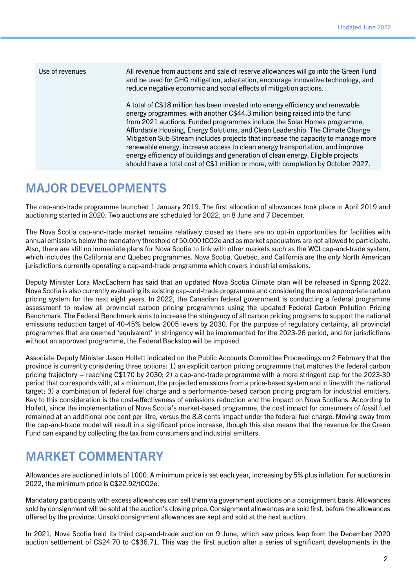| Use of revenues | All revenue from auctions and sale of reserve allowances will go into the Green Fund<br>and be used for GHG mitigation, adaptation, encourage innovative technology, and<br>reduce negative economic and social effects of mitigation actions.                                                                                                                                                                                                                                                                                                                                                                                                                              |
|-----------------|-----------------------------------------------------------------------------------------------------------------------------------------------------------------------------------------------------------------------------------------------------------------------------------------------------------------------------------------------------------------------------------------------------------------------------------------------------------------------------------------------------------------------------------------------------------------------------------------------------------------------------------------------------------------------------|
|                 | A total of C\$18 million has been invested into energy efficiency and renewable<br>energy programmes, with another C\$44.3 million being raised into the fund<br>from 2021 auctions. Funded programmes include the Solar Homes programme,<br>Affordable Housing, Energy Solutions, and Clean Leadership. The Climate Change<br>Mitigation Sub-Stream includes projects that increase the capacity to manage more<br>renewable energy, increase access to clean energy transportation, and improve<br>energy efficiency of buildings and generation of clean energy. Eligible projects<br>should have a total cost of C\$1 million or more, with completion by October 2027. |

#### MAJOR DEVELOPMENTS

The cap-and-trade programme launched 1 January 2019. The first allocation of allowances took place in April 2019 and auctioning started in 2020. Two auctions are scheduled for 2022, on 8 June and 7 December.

The Nova Scotia cap-and-trade market remains relatively closed as there are no opt-in opportunities for facilities with annual emissions below the mandatory threshold of 50,000 tCO2e and as market speculators are not allowed to participate. Also, there are still no immediate plans for Nova Scotia to link with other markets such as the WCI cap-and-trade system, which includes the California and Quebec programmes. Nova Scotia, Quebec, and California are the only North American jurisdictions currently operating a cap-and-trade programme which covers industrial emissions.

Deputy Minister Lora MacEachern has said that an updated Nova Scotia Climate plan will be released in Spring 2022. Nova Scotia is also currently evaluating its existing cap-and-trade programme and considering the most appropriate carbon pricing system for the next eight years. In 2022, the Canadian federal government is conducting a federal programme assessment to review all provincial carbon pricing programmes using the updated Federal Carbon Pollution Pricing Benchmark. The Federal Benchmark aims to increase the stringency of all carbon pricing programs to support the national emissions reduction target of 40-45% below 2005 levels by 2030. For the purpose of regulatory certainty, all provincial programmes that are deemed 'equivalent' in stringency will be implemented for the 2023-26 period, and for jurisdictions without an approved programme, the Federal Backstop will be imposed.

Associate Deputy Minister Jason Hollett indicated on the Public Accounts Committee Proceedings on 2 February that the province is currently considering three options: 1) an explicit carbon pricing programme that matches the federal carbon pricing trajectory – reaching C\$170 by 2030; 2) a cap-and-trade programme with a more stringent cap for the 2023-30 period that corresponds with, at a minimum, the projected emissions from a price-based system and in line with the national target; 3) a combination of federal fuel charge and a performance-based carbon pricing program for industrial emitters. Key to this consideration is the cost-effectiveness of emissions reduction and the impact on Nova Scotians. According to Hollett, since the implementation of Nova Scotia's market-based programme, the cost impact for consumers of fossil fuel remained at an additional one cent per litre, versus the 8.8 cents impact under the federal fuel charge. Moving away from the cap-and-trade model will result in a significant price increase, though this also means that the revenue for the Green Fund can expand by collecting the tax from consumers and industrial emitters.

#### MARKET COMMENTARY

Allowances are auctioned in lots of 1000. A minimum price is set each year, increasing by 5% plus inflation. For auctions in 2022, the minimum price is C\$22.92/tCO2e.

Mandatory participants with excess allowances can sell them via government auctions on a consignment basis. Allowances sold by consignment will be sold at the auction's closing price. Consignment allowances are sold first, before the allowances offered by the province. Unsold consignment allowances are kept and sold at the next auction.

In 2021, Nova Scotia held its third cap-and-trade auction on 9 June, which saw prices leap from the December 2020 auction settlement of C\$24.70 to C\$36.71. This was the first auction after a series of significant developments in the